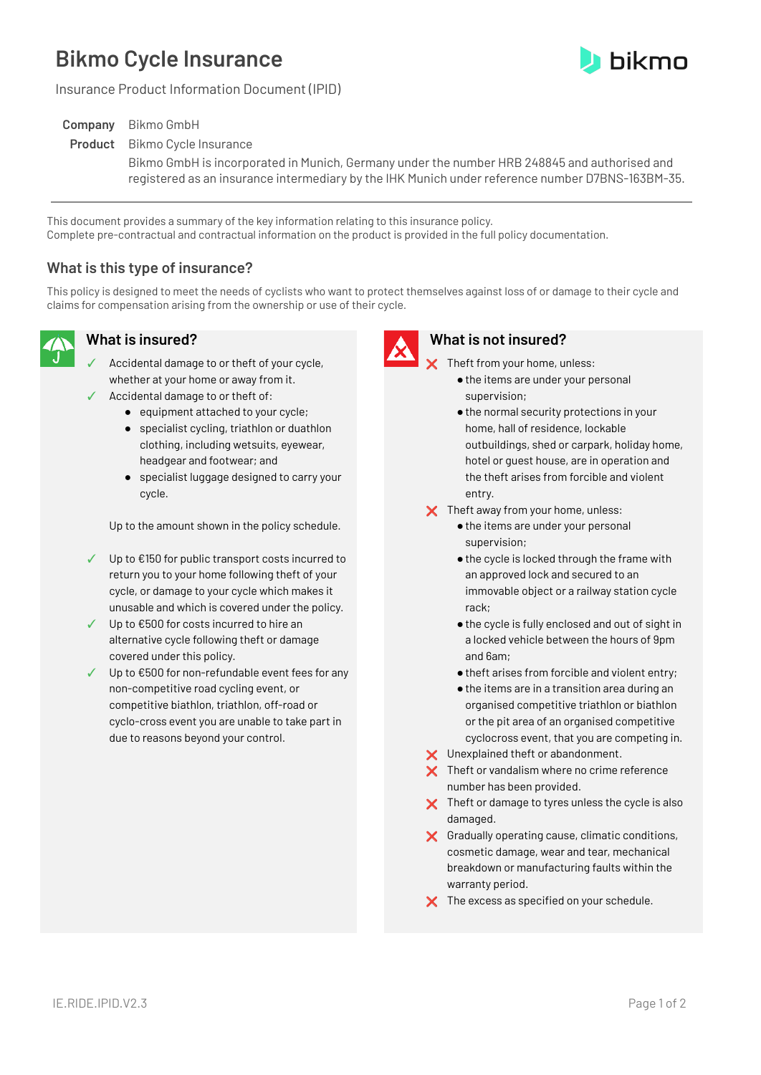# **Bikmo Cycle Insurance**



Insurance Product Information Document (IPID)

| <b>Company</b> Bikmo GmbH                                                                        |
|--------------------------------------------------------------------------------------------------|
| <b>Product</b> Bikmo Cycle Insurance                                                             |
| Bikmo GmbH is incorporated in Munich, Germany under the number HRB 248845 and authorised and     |
| registered as an insurance intermediary by the IHK Munich under reference number D7BNS-163BM-35. |

This document provides a summary of the key information relating to this insurance policy. Complete pre-contractual and contractual information on the product is provided in the full policy documentation.

## **What is this type of insurance?**

This policy is designed to meet the needs of cyclists who want to protect themselves against loss of or damage to their cycle and claims for compensation arising from the ownership or use of their cycle.



# **What is insured?**

- Accidental damage to or theft of your cycle, whether at your home or away from it.
- Accidental damage to or theft of:
	- equipment attached to your cycle;
	- specialist cycling, triathlon or duathlon clothing, including wetsuits, eyewear, headgear and footwear; and
	- specialist luggage designed to carry your cycle.

Up to the amount shown in the policy schedule.

- ✓ Up to €150 for public transport costs incurred to return you to your home following theft of your cycle, or damage to your cycle which makes it unusable and which is covered under the policy.
- ✓ Up to €500 for costs incurred to hire an alternative cycle following theft or damage covered under this policy.
- ✓ Up to €500 for non-refundable event fees for any non-competitive road cycling event, or competitive biathlon, triathlon, off-road or cyclo-cross event you are unable to take part in due to reasons beyond your control.



#### **What is not insured?**

X Theft from your home, unless:

- $\bullet$  the items are under your personal supervision;
- ●the normal security protections in your home, hall of residence, lockable outbuildings, shed or carpark, holiday home, hotel or guest house, are in operation and the theft arises from forcible and violent entry.
- X Theft away from your home, unless:
	- ●the items are under your personal supervision;
	- ●the cycle is locked through the frame with an approved lock and secured to an immovable object or a railway station cycle rack;
	- ●the cycle is fully enclosed and out of sight in a locked vehicle between the hours of 9pm and 6am;
	- ●theft arises from forcible and violent entry;
	- ●the items are in a transition area during an organised competitive triathlon or biathlon or the pit area of an organised competitive cyclocross event, that you are competing in.
- X Unexplained theft or abandonment.
- $\times$  Theft or vandalism where no crime reference number has been provided.
- $\times$  Theft or damage to tyres unless the cycle is also damaged.
- ❌ Gradually operating cause, climatic conditions, cosmetic damage, wear and tear, mechanical breakdown or manufacturing faults within the warranty period.
- X The excess as specified on your schedule.